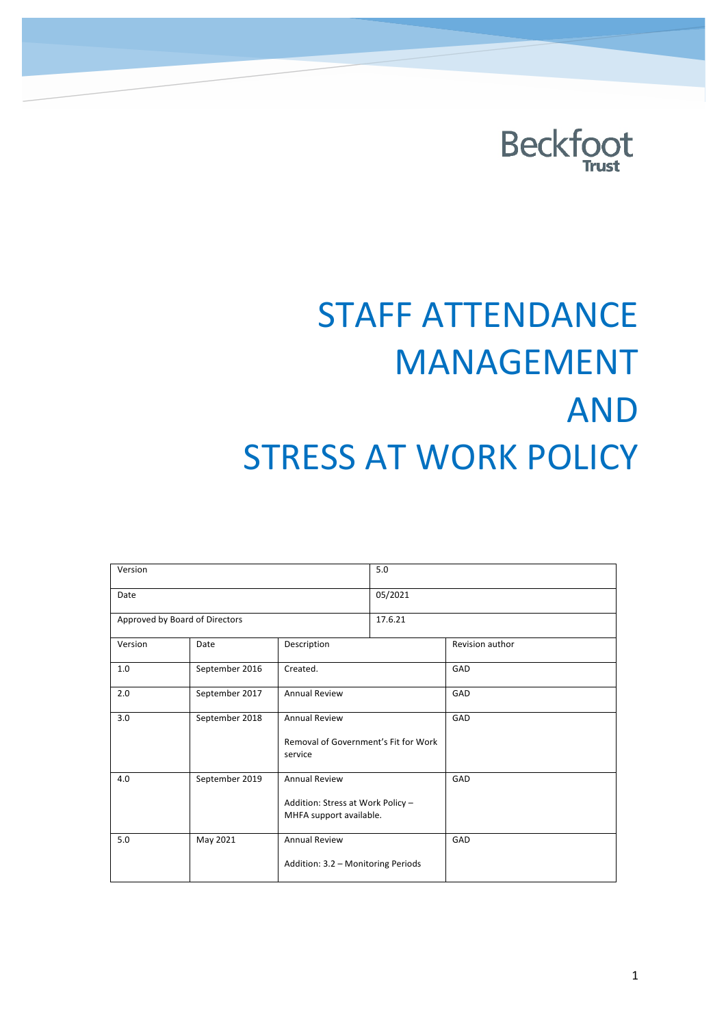

# **STAFF ATTENDANCE** MANAGEMENT AND **STRESS AT WORK POLICY**

| Version                        |                | 5.0                                                                                  |         |                 |
|--------------------------------|----------------|--------------------------------------------------------------------------------------|---------|-----------------|
| Date                           |                |                                                                                      | 05/2021 |                 |
| Approved by Board of Directors |                |                                                                                      | 17.6.21 |                 |
| Version                        | Date           | Description                                                                          |         | Revision author |
| 1.0                            | September 2016 | Created.                                                                             |         | GAD             |
| 2.0                            | September 2017 | <b>Annual Review</b>                                                                 |         | GAD             |
| 3.0                            | September 2018 | <b>Annual Review</b><br>Removal of Government's Fit for Work<br>service              |         | GAD             |
| 4.0                            | September 2019 | <b>Annual Review</b><br>Addition: Stress at Work Policy -<br>MHFA support available. |         | GAD             |
| 5.0                            | May 2021       | <b>Annual Review</b><br>Addition: 3.2 - Monitoring Periods                           |         | GAD             |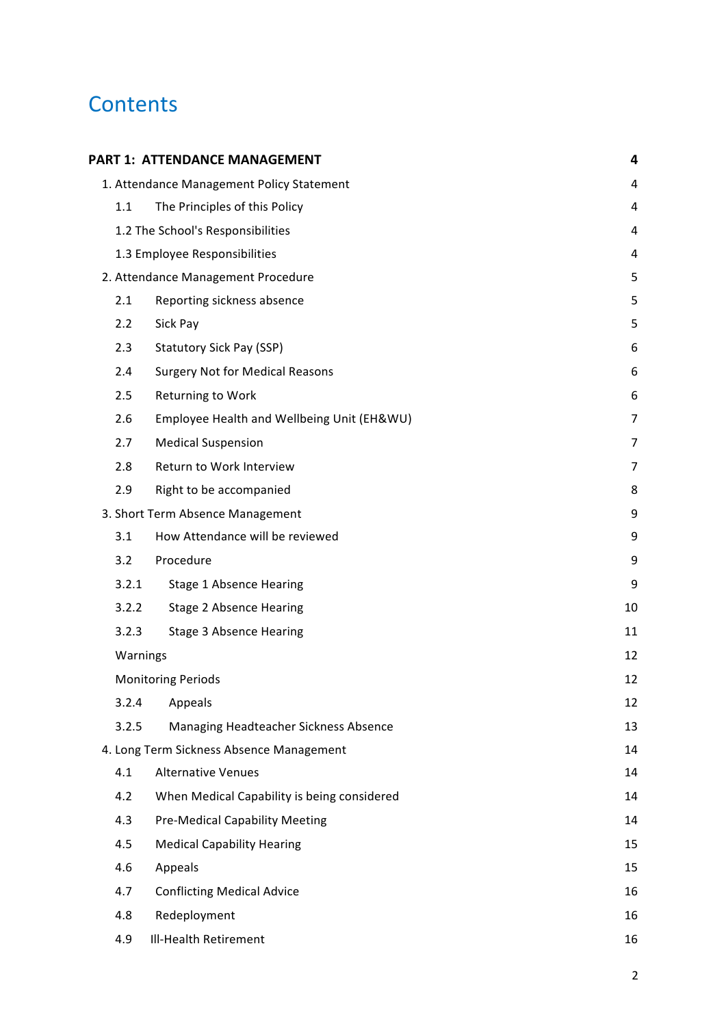# **Contents**

|          | PART 1: ATTENDANCE MANAGEMENT               | 4  |
|----------|---------------------------------------------|----|
|          | 1. Attendance Management Policy Statement   | 4  |
| 1.1      | The Principles of this Policy               | 4  |
|          | 1.2 The School's Responsibilities           | 4  |
|          | 1.3 Employee Responsibilities               | 4  |
|          | 2. Attendance Management Procedure          | 5  |
| 2.1      | Reporting sickness absence                  | 5  |
| 2.2      | Sick Pay                                    | 5  |
| 2.3      | Statutory Sick Pay (SSP)                    | 6  |
| 2.4      | <b>Surgery Not for Medical Reasons</b>      | 6  |
| 2.5      | Returning to Work                           | 6  |
| 2.6      | Employee Health and Wellbeing Unit (EH&WU)  | 7  |
| 2.7      | <b>Medical Suspension</b>                   | 7  |
| 2.8      | Return to Work Interview                    | 7  |
| 2.9      | Right to be accompanied                     | 8  |
|          | 3. Short Term Absence Management            | 9  |
| 3.1      | How Attendance will be reviewed             | 9  |
| 3.2      | Procedure                                   | 9  |
| 3.2.1    | <b>Stage 1 Absence Hearing</b>              | 9  |
| 3.2.2    | <b>Stage 2 Absence Hearing</b>              | 10 |
| 3.2.3    | <b>Stage 3 Absence Hearing</b>              | 11 |
| Warnings |                                             | 12 |
|          | <b>Monitoring Periods</b>                   | 12 |
| 3.2.4    | Appeals                                     | 12 |
| 3.2.5    | Managing Headteacher Sickness Absence       | 13 |
|          | 4. Long Term Sickness Absence Management    | 14 |
| 4.1      | <b>Alternative Venues</b>                   | 14 |
| 4.2      | When Medical Capability is being considered | 14 |
| 4.3      | <b>Pre-Medical Capability Meeting</b>       | 14 |
| 4.5      | <b>Medical Capability Hearing</b>           | 15 |
| 4.6      | Appeals                                     | 15 |
| 4.7      | <b>Conflicting Medical Advice</b>           | 16 |
| 4.8      | Redeployment                                | 16 |
| 4.9      | Ill-Health Retirement                       | 16 |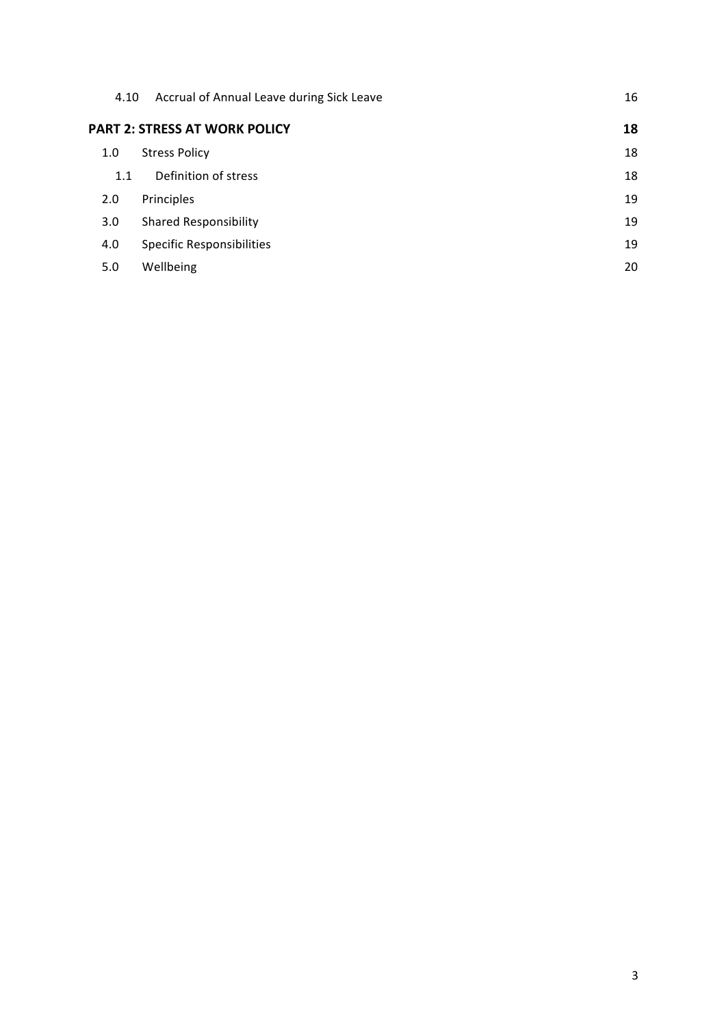| 4.10 | Accrual of Annual Leave during Sick Leave | 16 |
|------|-------------------------------------------|----|
|      | <b>PART 2: STRESS AT WORK POLICY</b>      | 18 |
| 1.0  | <b>Stress Policy</b>                      | 18 |
| 1.1  | Definition of stress                      | 18 |
| 2.0  | Principles                                | 19 |
| 3.0  | <b>Shared Responsibility</b>              | 19 |
| 4.0  | <b>Specific Responsibilities</b>          | 19 |
| 5.0  | Wellbeing                                 | 20 |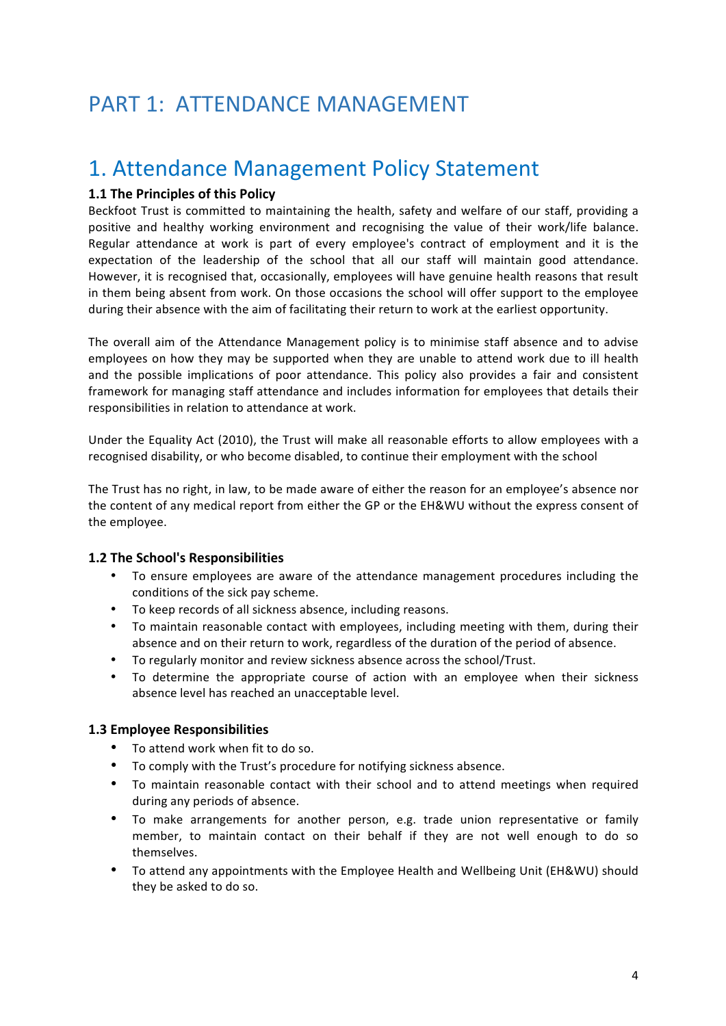### PART 1: ATTENDANCE MANAGEMENT

### 1. Attendance Management Policy Statement

#### **1.1 The Principles of this Policy**

Beckfoot Trust is committed to maintaining the health, safety and welfare of our staff, providing a positive and healthy working environment and recognising the value of their work/life balance. Regular attendance at work is part of every employee's contract of employment and it is the expectation of the leadership of the school that all our staff will maintain good attendance. However, it is recognised that, occasionally, employees will have genuine health reasons that result in them being absent from work. On those occasions the school will offer support to the employee during their absence with the aim of facilitating their return to work at the earliest opportunity.

The overall aim of the Attendance Management policy is to minimise staff absence and to advise employees on how they may be supported when they are unable to attend work due to ill health and the possible implications of poor attendance. This policy also provides a fair and consistent framework for managing staff attendance and includes information for employees that details their responsibilities in relation to attendance at work.

Under the Equality Act (2010), the Trust will make all reasonable efforts to allow employees with a recognised disability, or who become disabled, to continue their employment with the school

The Trust has no right, in law, to be made aware of either the reason for an employee's absence nor the content of any medical report from either the GP or the EH&WU without the express consent of the employee.

#### **1.2 The School's Responsibilities**

- To ensure employees are aware of the attendance management procedures including the conditions of the sick pay scheme.
- To keep records of all sickness absence, including reasons.
- To maintain reasonable contact with employees, including meeting with them, during their absence and on their return to work, regardless of the duration of the period of absence.
- To regularly monitor and review sickness absence across the school/Trust.
- To determine the appropriate course of action with an employee when their sickness absence level has reached an unacceptable level.

#### **1.3 Employee Responsibilities**

- To attend work when fit to do so.
- To comply with the Trust's procedure for notifying sickness absence.
- To maintain reasonable contact with their school and to attend meetings when required during any periods of absence.
- To make arrangements for another person, e.g. trade union representative or family member, to maintain contact on their behalf if they are not well enough to do so themselves.
- To attend any appointments with the Employee Health and Wellbeing Unit (EH&WU) should they be asked to do so.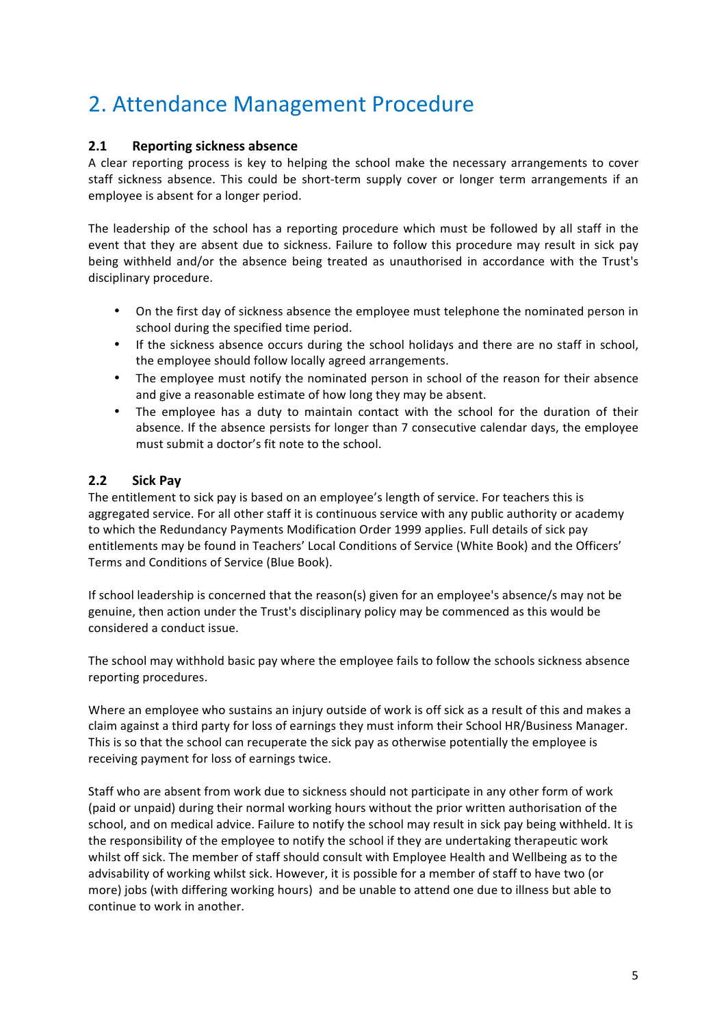# 2. Attendance Management Procedure

#### **2.1 Reporting sickness absence**

A clear reporting process is key to helping the school make the necessary arrangements to cover staff sickness absence. This could be short-term supply cover or longer term arrangements if an employee is absent for a longer period.

The leadership of the school has a reporting procedure which must be followed by all staff in the event that they are absent due to sickness. Failure to follow this procedure may result in sick pay being withheld and/or the absence being treated as unauthorised in accordance with the Trust's disciplinary procedure.

- On the first day of sickness absence the employee must telephone the nominated person in school during the specified time period.
- If the sickness absence occurs during the school holidays and there are no staff in school, the employee should follow locally agreed arrangements.
- The employee must notify the nominated person in school of the reason for their absence and give a reasonable estimate of how long they may be absent.
- The employee has a duty to maintain contact with the school for the duration of their absence. If the absence persists for longer than 7 consecutive calendar days, the employee must submit a doctor's fit note to the school.

#### **2.2 Sick Pay**

The entitlement to sick pay is based on an employee's length of service. For teachers this is aggregated service. For all other staff it is continuous service with any public authority or academy to which the Redundancy Payments Modification Order 1999 applies. Full details of sick pay entitlements may be found in Teachers' Local Conditions of Service (White Book) and the Officers' Terms and Conditions of Service (Blue Book).

If school leadership is concerned that the reason(s) given for an employee's absence/s may not be genuine, then action under the Trust's disciplinary policy may be commenced as this would be considered a conduct issue.

The school may withhold basic pay where the employee fails to follow the schools sickness absence reporting procedures.

Where an employee who sustains an injury outside of work is off sick as a result of this and makes a claim against a third party for loss of earnings they must inform their School HR/Business Manager. This is so that the school can recuperate the sick pay as otherwise potentially the employee is receiving payment for loss of earnings twice.

Staff who are absent from work due to sickness should not participate in any other form of work (paid or unpaid) during their normal working hours without the prior written authorisation of the school, and on medical advice. Failure to notify the school may result in sick pay being withheld. It is the responsibility of the employee to notify the school if they are undertaking therapeutic work whilst off sick. The member of staff should consult with Employee Health and Wellbeing as to the advisability of working whilst sick. However, it is possible for a member of staff to have two (or more) jobs (with differing working hours) and be unable to attend one due to illness but able to continue to work in another.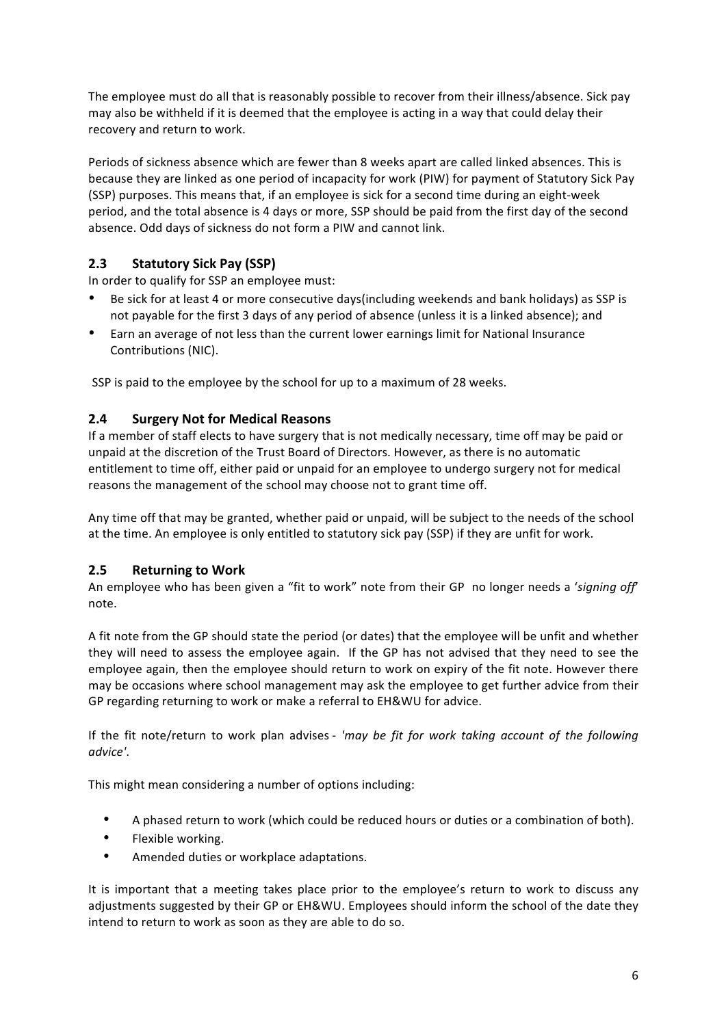The employee must do all that is reasonably possible to recover from their illness/absence. Sick pay may also be withheld if it is deemed that the employee is acting in a way that could delay their recovery and return to work.

Periods of sickness absence which are fewer than 8 weeks apart are called linked absences. This is because they are linked as one period of incapacity for work (PIW) for payment of Statutory Sick Pay (SSP) purposes. This means that, if an employee is sick for a second time during an eight-week period, and the total absence is 4 days or more, SSP should be paid from the first day of the second absence. Odd days of sickness do not form a PIW and cannot link.

#### **2.3 Statutory Sick Pay (SSP)**

In order to qualify for SSP an employee must:

- Be sick for at least 4 or more consecutive days(including weekends and bank holidays) as SSP is not payable for the first 3 days of any period of absence (unless it is a linked absence); and
- Earn an average of not less than the current lower earnings limit for National Insurance Contributions (NIC).

SSP is paid to the employee by the school for up to a maximum of 28 weeks.

#### **2.4 Surgery Not for Medical Reasons**

If a member of staff elects to have surgery that is not medically necessary, time off may be paid or unpaid at the discretion of the Trust Board of Directors. However, as there is no automatic entitlement to time off, either paid or unpaid for an employee to undergo surgery not for medical reasons the management of the school may choose not to grant time off.

Any time off that may be granted, whether paid or unpaid, will be subject to the needs of the school at the time. An employee is only entitled to statutory sick pay (SSP) if they are unfit for work.

#### **2.5** Returning to Work

An employee who has been given a "fit to work" note from their GP no longer needs a 'signing off' note. 

A fit note from the GP should state the period (or dates) that the employee will be unfit and whether they will need to assess the employee again. If the GP has not advised that they need to see the employee again, then the employee should return to work on expiry of the fit note. However there may be occasions where school management may ask the employee to get further advice from their GP regarding returning to work or make a referral to EH&WU for advice.

If the fit note/return to work plan advises - 'may be fit for work taking account of the following *advice'*.

This might mean considering a number of options including:

- A phased return to work (which could be reduced hours or duties or a combination of both).
- Flexible working.
- Amended duties or workplace adaptations.

It is important that a meeting takes place prior to the employee's return to work to discuss any adjustments suggested by their GP or EH&WU. Employees should inform the school of the date they intend to return to work as soon as they are able to do so.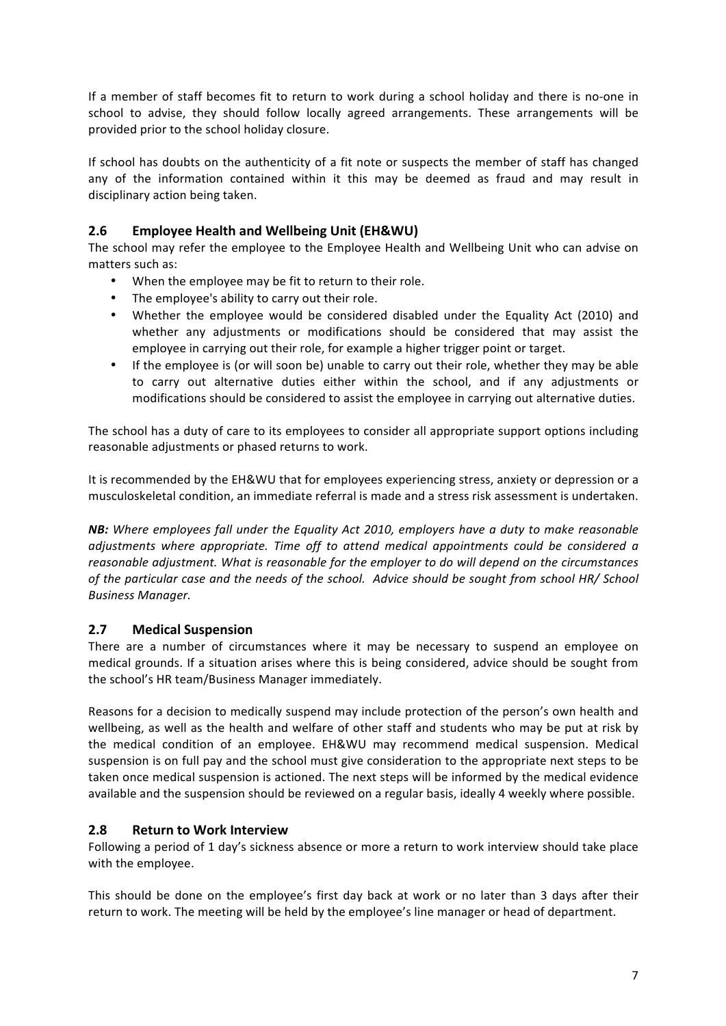If a member of staff becomes fit to return to work during a school holiday and there is no-one in school to advise, they should follow locally agreed arrangements. These arrangements will be provided prior to the school holiday closure.

If school has doubts on the authenticity of a fit note or suspects the member of staff has changed any of the information contained within it this may be deemed as fraud and may result in disciplinary action being taken.

#### **2.6 Employee Health and Wellbeing Unit (EH&WU)**

The school may refer the employee to the Employee Health and Wellbeing Unit who can advise on matters such as:

- When the employee may be fit to return to their role.
- The employee's ability to carry out their role.
- Whether the employee would be considered disabled under the Equality Act (2010) and whether any adjustments or modifications should be considered that may assist the employee in carrying out their role, for example a higher trigger point or target.
- If the employee is (or will soon be) unable to carry out their role, whether they may be able to carry out alternative duties either within the school, and if any adjustments or modifications should be considered to assist the employee in carrying out alternative duties.

The school has a duty of care to its employees to consider all appropriate support options including reasonable adjustments or phased returns to work.

It is recommended by the EH&WU that for employees experiencing stress, anxiety or depression or a musculoskeletal condition, an immediate referral is made and a stress risk assessment is undertaken.

**NB:** Where employees fall under the Equality Act 2010, employers have a duty to make reasonable *adjustments* where appropriate. Time off to attend medical appointments could be considered a *reasonable adjustment. What is reasonable for the employer to do will depend on the circumstances* of the particular case and the needs of the school. Advice should be sought from school HR/ School *Business Manager.*

#### **2.7 Medical Suspension**

There are a number of circumstances where it may be necessary to suspend an employee on medical grounds. If a situation arises where this is being considered, advice should be sought from the school's HR team/Business Manager immediately.

Reasons for a decision to medically suspend may include protection of the person's own health and wellbeing, as well as the health and welfare of other staff and students who may be put at risk by the medical condition of an employee. EH&WU may recommend medical suspension. Medical suspension is on full pay and the school must give consideration to the appropriate next steps to be taken once medical suspension is actioned. The next steps will be informed by the medical evidence available and the suspension should be reviewed on a regular basis, ideally 4 weekly where possible.

#### **2.8** Return to Work Interview

Following a period of 1 day's sickness absence or more a return to work interview should take place with the employee.

This should be done on the employee's first day back at work or no later than 3 days after their return to work. The meeting will be held by the employee's line manager or head of department.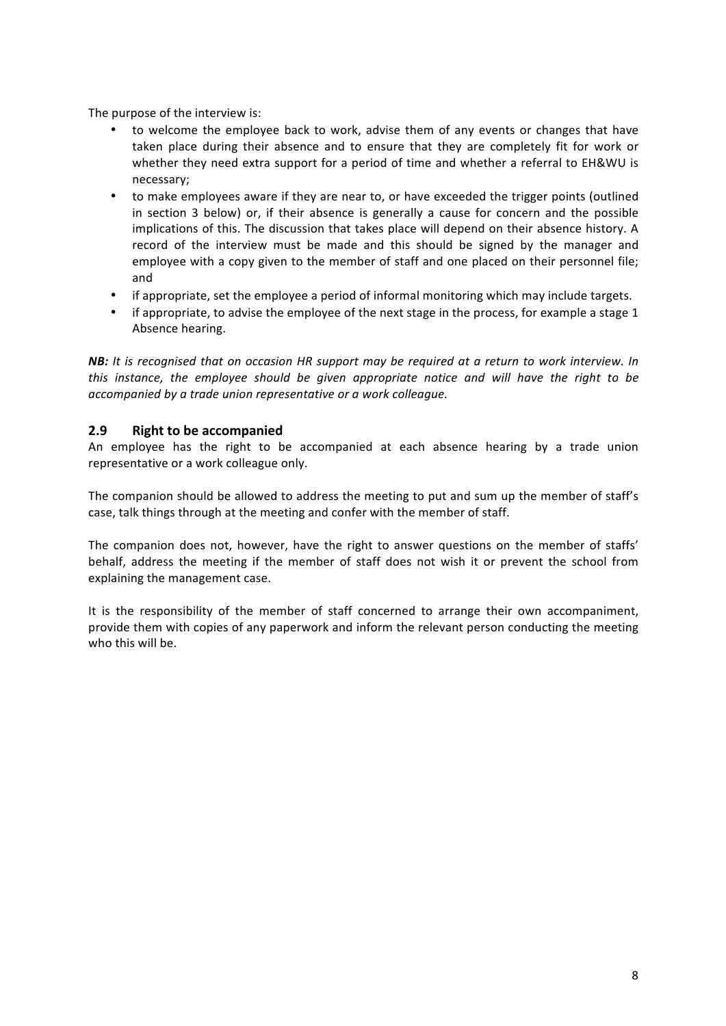The purpose of the interview is:

- to welcome the employee back to work, advise them of any events or changes that have taken place during their absence and to ensure that they are completely fit for work or whether they need extra support for a period of time and whether a referral to EH&WU is necessary;
- to make employees aware if they are near to, or have exceeded the trigger points (outlined in section 3 below) or, if their absence is generally a cause for concern and the possible implications of this. The discussion that takes place will depend on their absence history. A record of the interview must be made and this should be signed by the manager and employee with a copy given to the member of staff and one placed on their personnel file; and
- if appropriate, set the employee a period of informal monitoring which may include targets.
- if appropriate, to advise the employee of the next stage in the process, for example a stage 1 Absence hearing.

**NB:** *It* is recognised that on occasion HR support may be required at a return to work interview. In *this* instance, the employee should be given appropriate notice and will have the right to be *accompanied by a trade union representative or a work colleague.*

#### **2.9** Right to be accompanied

An employee has the right to be accompanied at each absence hearing by a trade union representative or a work colleague only.

The companion should be allowed to address the meeting to put and sum up the member of staff's case, talk things through at the meeting and confer with the member of staff.

The companion does not, however, have the right to answer questions on the member of staffs' behalf, address the meeting if the member of staff does not wish it or prevent the school from explaining the management case.

It is the responsibility of the member of staff concerned to arrange their own accompaniment, provide them with copies of any paperwork and inform the relevant person conducting the meeting who this will be.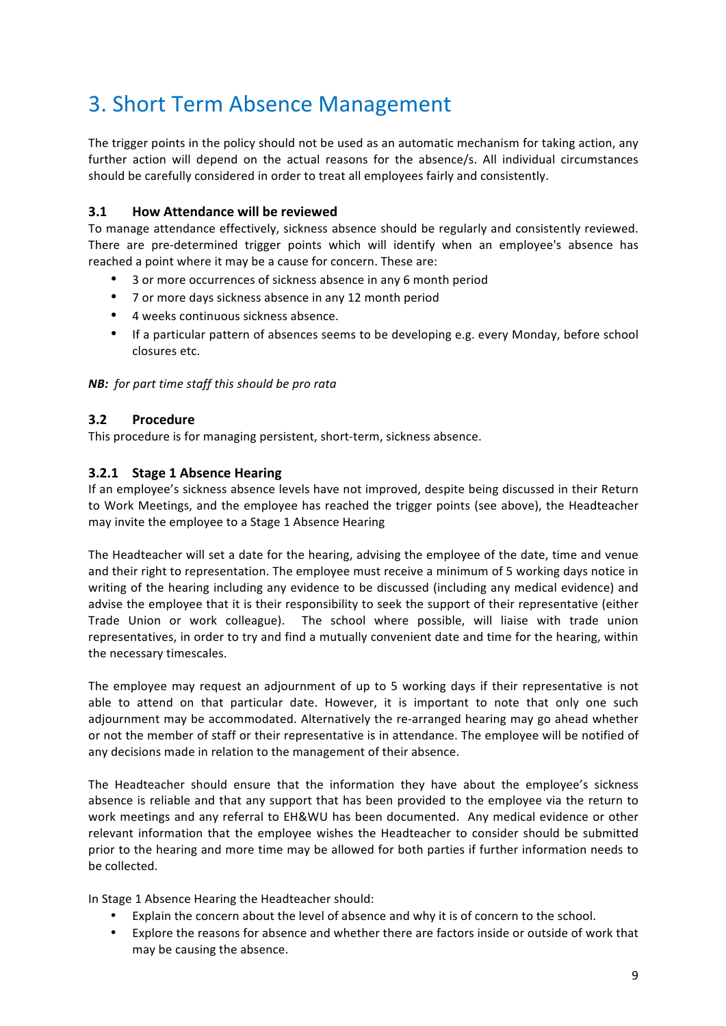# 3. Short Term Absence Management

The trigger points in the policy should not be used as an automatic mechanism for taking action, any further action will depend on the actual reasons for the absence/s. All individual circumstances should be carefully considered in order to treat all employees fairly and consistently.

#### **3.1 How Attendance will be reviewed**

To manage attendance effectively, sickness absence should be regularly and consistently reviewed. There are pre-determined trigger points which will identify when an employee's absence has reached a point where it may be a cause for concern. These are:

- 3 or more occurrences of sickness absence in any 6 month period
- 7 or more days sickness absence in any 12 month period
- 4 weeks continuous sickness absence.
- If a particular pattern of absences seems to be developing e.g. every Monday, before school closures etc.

**NB:** for part time staff this should be pro rata

#### **3.2 Procedure**

This procedure is for managing persistent, short-term, sickness absence.

#### **3.2.1 Stage 1 Absence Hearing**

If an employee's sickness absence levels have not improved, despite being discussed in their Return to Work Meetings, and the employee has reached the trigger points (see above), the Headteacher may invite the employee to a Stage 1 Absence Hearing

The Headteacher will set a date for the hearing, advising the employee of the date, time and venue and their right to representation. The employee must receive a minimum of 5 working days notice in writing of the hearing including any evidence to be discussed (including any medical evidence) and advise the employee that it is their responsibility to seek the support of their representative (either Trade Union or work colleague). The school where possible, will liaise with trade union representatives, in order to try and find a mutually convenient date and time for the hearing, within the necessary timescales.

The employee may request an adjournment of up to 5 working days if their representative is not able to attend on that particular date. However, it is important to note that only one such adjournment may be accommodated. Alternatively the re-arranged hearing may go ahead whether or not the member of staff or their representative is in attendance. The employee will be notified of any decisions made in relation to the management of their absence.

The Headteacher should ensure that the information they have about the employee's sickness absence is reliable and that any support that has been provided to the employee via the return to work meetings and any referral to EH&WU has been documented. Any medical evidence or other relevant information that the employee wishes the Headteacher to consider should be submitted prior to the hearing and more time may be allowed for both parties if further information needs to be collected.

In Stage 1 Absence Hearing the Headteacher should:

- Explain the concern about the level of absence and why it is of concern to the school.
- Explore the reasons for absence and whether there are factors inside or outside of work that may be causing the absence.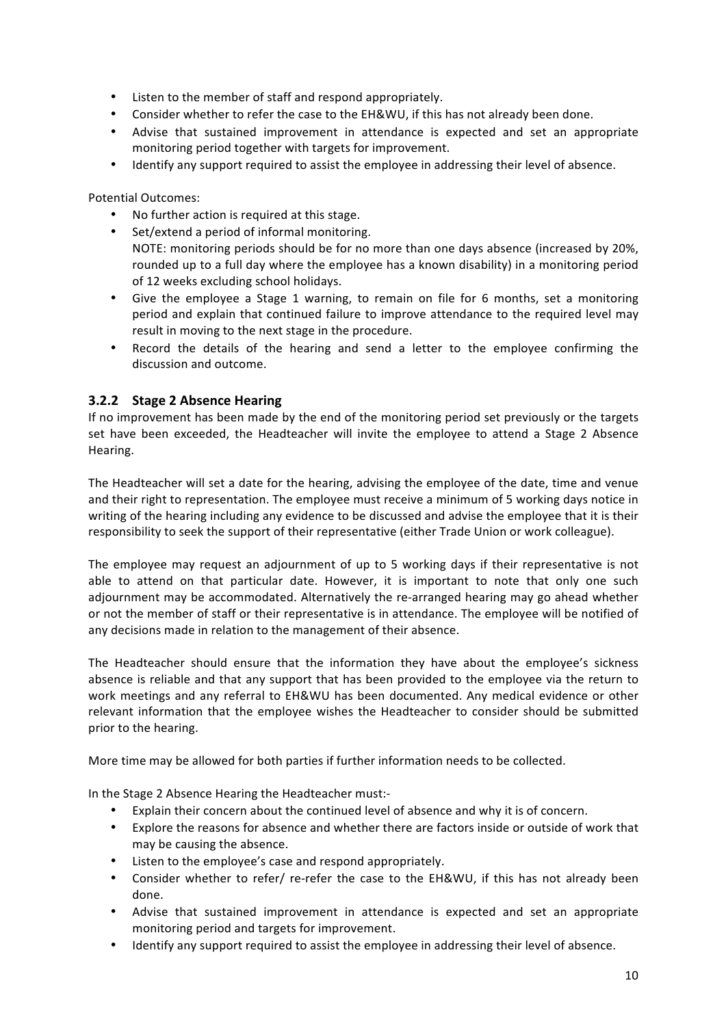- Listen to the member of staff and respond appropriately.
- Consider whether to refer the case to the EH&WU, if this has not already been done.
- Advise that sustained improvement in attendance is expected and set an appropriate monitoring period together with targets for improvement.
- Identify any support required to assist the employee in addressing their level of absence.

Potential Outcomes:

- No further action is required at this stage.
- Set/extend a period of informal monitoring. NOTE: monitoring periods should be for no more than one days absence (increased by 20%, rounded up to a full day where the employee has a known disability) in a monitoring period of 12 weeks excluding school holidays.
- Give the employee a Stage 1 warning, to remain on file for 6 months, set a monitoring period and explain that continued failure to improve attendance to the required level may result in moving to the next stage in the procedure.
- Record the details of the hearing and send a letter to the employee confirming the discussion and outcome.

#### **3.2.2 Stage 2 Absence Hearing**

If no improvement has been made by the end of the monitoring period set previously or the targets set have been exceeded, the Headteacher will invite the employee to attend a Stage 2 Absence Hearing.

The Headteacher will set a date for the hearing, advising the employee of the date, time and venue and their right to representation. The employee must receive a minimum of 5 working days notice in writing of the hearing including any evidence to be discussed and advise the employee that it is their responsibility to seek the support of their representative (either Trade Union or work colleague).

The employee may request an adjournment of up to 5 working days if their representative is not able to attend on that particular date. However, it is important to note that only one such adjournment may be accommodated. Alternatively the re-arranged hearing may go ahead whether or not the member of staff or their representative is in attendance. The employee will be notified of any decisions made in relation to the management of their absence.

The Headteacher should ensure that the information they have about the employee's sickness absence is reliable and that any support that has been provided to the employee via the return to work meetings and any referral to EH&WU has been documented. Any medical evidence or other relevant information that the employee wishes the Headteacher to consider should be submitted prior to the hearing.

More time may be allowed for both parties if further information needs to be collected.

In the Stage 2 Absence Hearing the Headteacher must:-

- Explain their concern about the continued level of absence and why it is of concern.
- Explore the reasons for absence and whether there are factors inside or outside of work that may be causing the absence.
- Listen to the employee's case and respond appropriately.
- Consider whether to refer/ re-refer the case to the EH&WU, if this has not already been done.
- Advise that sustained improvement in attendance is expected and set an appropriate monitoring period and targets for improvement.
- Identify any support required to assist the employee in addressing their level of absence.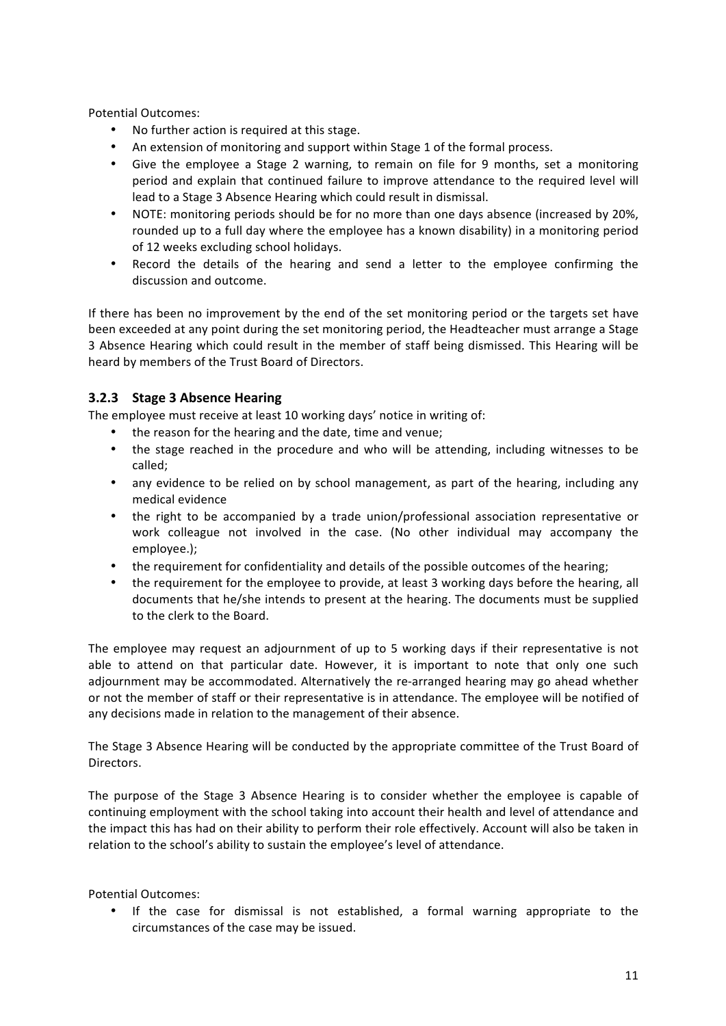Potential Outcomes:

- No further action is required at this stage.
- An extension of monitoring and support within Stage 1 of the formal process.
- Give the employee a Stage 2 warning, to remain on file for 9 months, set a monitoring period and explain that continued failure to improve attendance to the required level will lead to a Stage 3 Absence Hearing which could result in dismissal.
- NOTE: monitoring periods should be for no more than one days absence (increased by 20%, rounded up to a full day where the employee has a known disability) in a monitoring period of 12 weeks excluding school holidays.
- Record the details of the hearing and send a letter to the employee confirming the discussion and outcome.

If there has been no improvement by the end of the set monitoring period or the targets set have been exceeded at any point during the set monitoring period, the Headteacher must arrange a Stage 3 Absence Hearing which could result in the member of staff being dismissed. This Hearing will be heard by members of the Trust Board of Directors.

#### **3.2.3 Stage 3 Absence Hearing**

The employee must receive at least 10 working days' notice in writing of:

- the reason for the hearing and the date, time and venue;
- the stage reached in the procedure and who will be attending, including witnesses to be called;
- any evidence to be relied on by school management, as part of the hearing, including any medical evidence
- the right to be accompanied by a trade union/professional association representative or work colleague not involved in the case. (No other individual may accompany the employee.);
- the requirement for confidentiality and details of the possible outcomes of the hearing;
- the requirement for the employee to provide, at least 3 working days before the hearing, all documents that he/she intends to present at the hearing. The documents must be supplied to the clerk to the Board.

The employee may request an adjournment of up to 5 working days if their representative is not able to attend on that particular date. However, it is important to note that only one such adjournment may be accommodated. Alternatively the re-arranged hearing may go ahead whether or not the member of staff or their representative is in attendance. The employee will be notified of any decisions made in relation to the management of their absence.

The Stage 3 Absence Hearing will be conducted by the appropriate committee of the Trust Board of Directors. 

The purpose of the Stage 3 Absence Hearing is to consider whether the employee is capable of continuing employment with the school taking into account their health and level of attendance and the impact this has had on their ability to perform their role effectively. Account will also be taken in relation to the school's ability to sustain the employee's level of attendance.

Potential Outcomes:

• If the case for dismissal is not established, a formal warning appropriate to the circumstances of the case may be issued.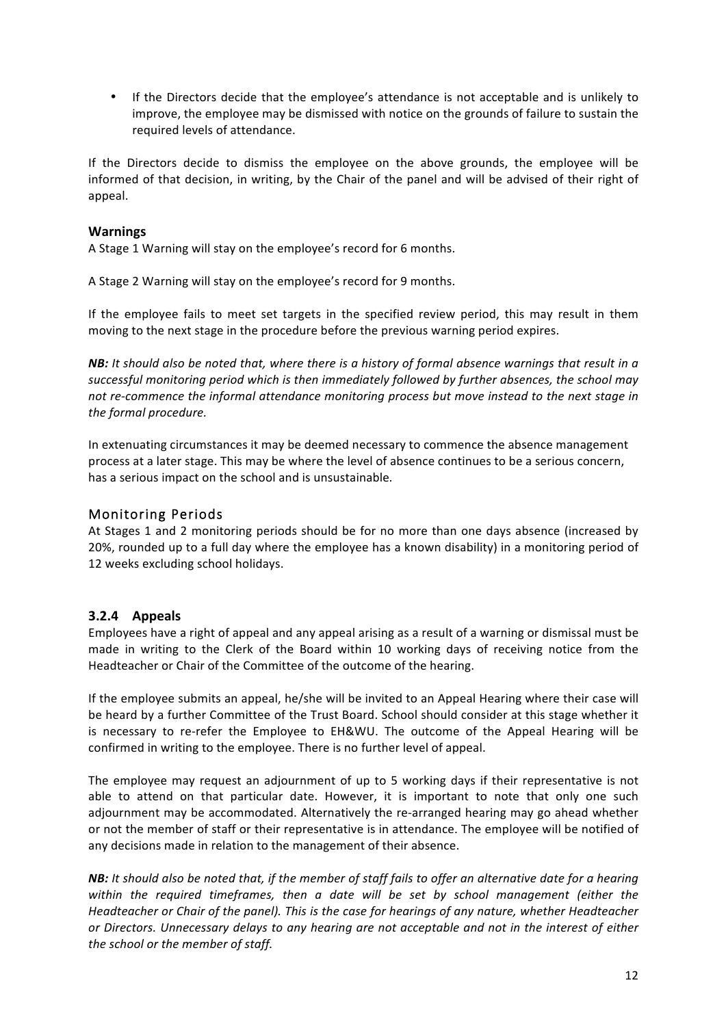• If the Directors decide that the employee's attendance is not acceptable and is unlikely to improve, the employee may be dismissed with notice on the grounds of failure to sustain the required levels of attendance.

If the Directors decide to dismiss the employee on the above grounds, the employee will be informed of that decision, in writing, by the Chair of the panel and will be advised of their right of appeal. 

#### **Warnings**

A Stage 1 Warning will stay on the employee's record for 6 months.

A Stage 2 Warning will stay on the employee's record for 9 months.

If the employee fails to meet set targets in the specified review period, this may result in them moving to the next stage in the procedure before the previous warning period expires.

**NB:** It should also be noted that, where there is a history of formal absence warnings that result in a successful monitoring period which is then immediately followed by further absences, the school may not re-commence the informal attendance monitoring process but move instead to the next stage in the formal procedure.

In extenuating circumstances it may be deemed necessary to commence the absence management process at a later stage. This may be where the level of absence continues to be a serious concern, has a serious impact on the school and is unsustainable.

#### Monitoring Periods

At Stages 1 and 2 monitoring periods should be for no more than one days absence (increased by 20%, rounded up to a full day where the employee has a known disability) in a monitoring period of 12 weeks excluding school holidays.

#### **3.2.4 Appeals**

Employees have a right of appeal and any appeal arising as a result of a warning or dismissal must be made in writing to the Clerk of the Board within 10 working days of receiving notice from the Headteacher or Chair of the Committee of the outcome of the hearing.

If the employee submits an appeal, he/she will be invited to an Appeal Hearing where their case will be heard by a further Committee of the Trust Board. School should consider at this stage whether it is necessary to re-refer the Employee to EH&WU. The outcome of the Appeal Hearing will be confirmed in writing to the employee. There is no further level of appeal.

The employee may request an adjournment of up to 5 working days if their representative is not able to attend on that particular date. However, it is important to note that only one such adjournment may be accommodated. Alternatively the re-arranged hearing may go ahead whether or not the member of staff or their representative is in attendance. The employee will be notified of any decisions made in relation to the management of their absence.

*NB:* It should also be noted that, if the member of staff fails to offer an alternative date for a hearing within the required timeframes, then a date will be set by school management (either the *Headteacher or Chair of the panel). This is the case for hearings of any nature, whether Headteacher* or Directors. Unnecessary delays to any hearing are not acceptable and not in the interest of either *the school or the member of staff.*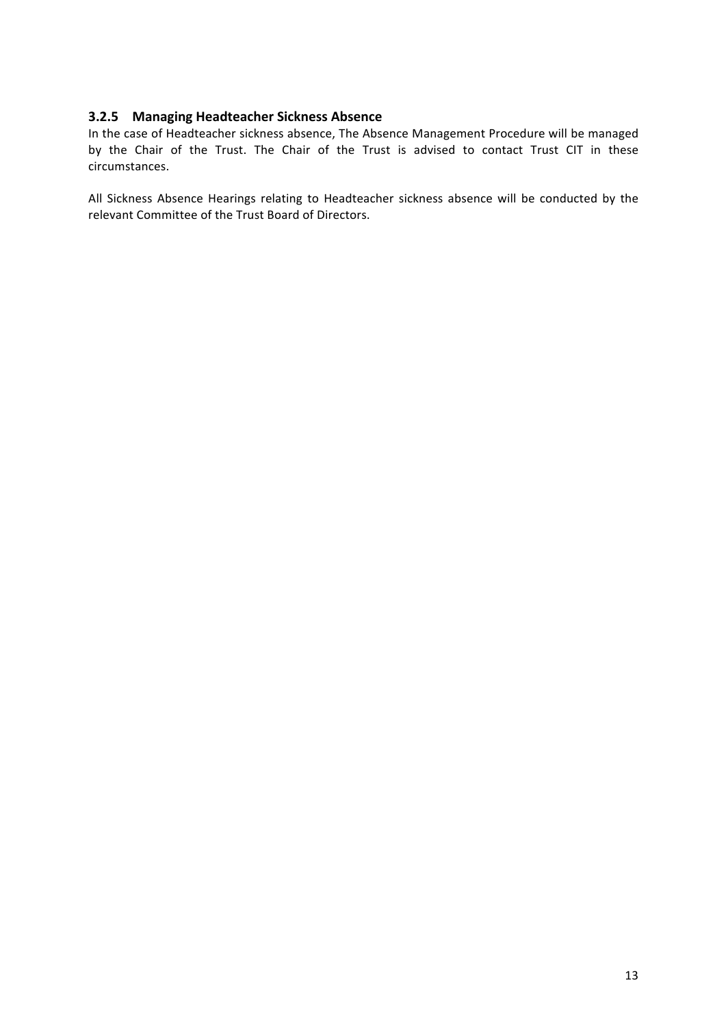#### **3.2.5 Managing Headteacher Sickness Absence**

In the case of Headteacher sickness absence, The Absence Management Procedure will be managed by the Chair of the Trust. The Chair of the Trust is advised to contact Trust CIT in these circumstances. 

All Sickness Absence Hearings relating to Headteacher sickness absence will be conducted by the relevant Committee of the Trust Board of Directors.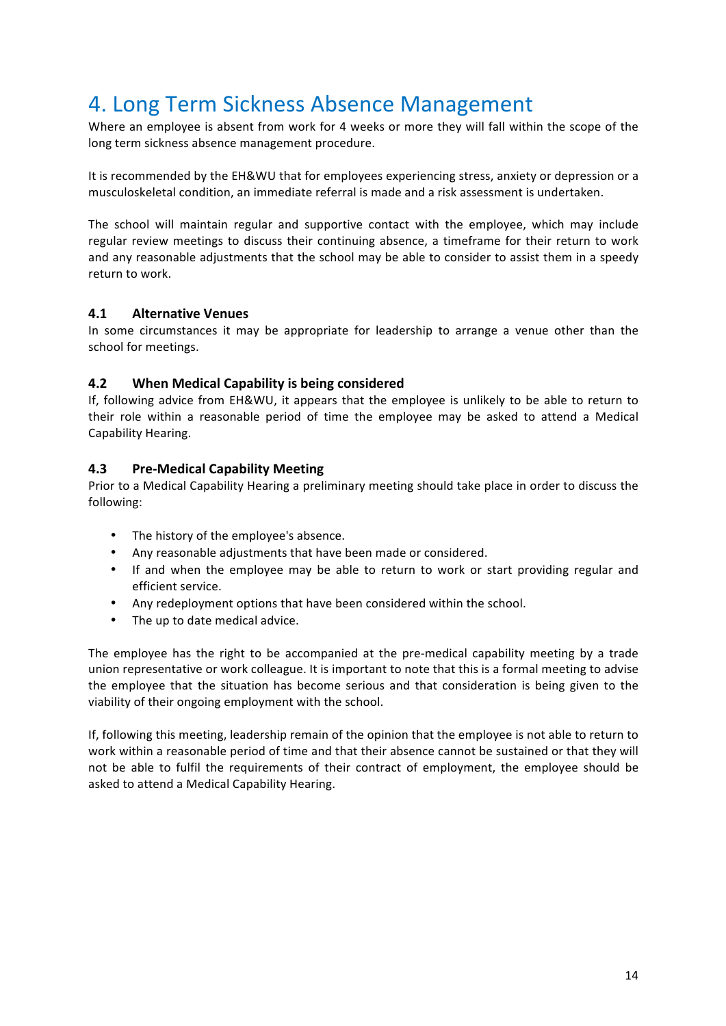### 4. Long Term Sickness Absence Management

Where an employee is absent from work for 4 weeks or more they will fall within the scope of the long term sickness absence management procedure.

It is recommended by the EH&WU that for employees experiencing stress, anxiety or depression or a musculoskeletal condition, an immediate referral is made and a risk assessment is undertaken.

The school will maintain regular and supportive contact with the employee, which may include regular review meetings to discuss their continuing absence, a timeframe for their return to work and any reasonable adjustments that the school may be able to consider to assist them in a speedy return to work.

#### **4.1 Alternative Venues**

In some circumstances it may be appropriate for leadership to arrange a venue other than the school for meetings.

#### **4.2 When Medical Capability is being considered**

If, following advice from EH&WU, it appears that the employee is unlikely to be able to return to their role within a reasonable period of time the employee may be asked to attend a Medical Capability Hearing.

#### **4.3 Pre-Medical Capability Meeting**

Prior to a Medical Capability Hearing a preliminary meeting should take place in order to discuss the following:

- The history of the employee's absence.
- Any reasonable adjustments that have been made or considered.
- If and when the employee may be able to return to work or start providing regular and efficient service.
- Any redeployment options that have been considered within the school.
- The up to date medical advice.

The employee has the right to be accompanied at the pre-medical capability meeting by a trade union representative or work colleague. It is important to note that this is a formal meeting to advise the employee that the situation has become serious and that consideration is being given to the viability of their ongoing employment with the school.

If, following this meeting, leadership remain of the opinion that the employee is not able to return to work within a reasonable period of time and that their absence cannot be sustained or that they will not be able to fulfil the requirements of their contract of employment, the employee should be asked to attend a Medical Capability Hearing.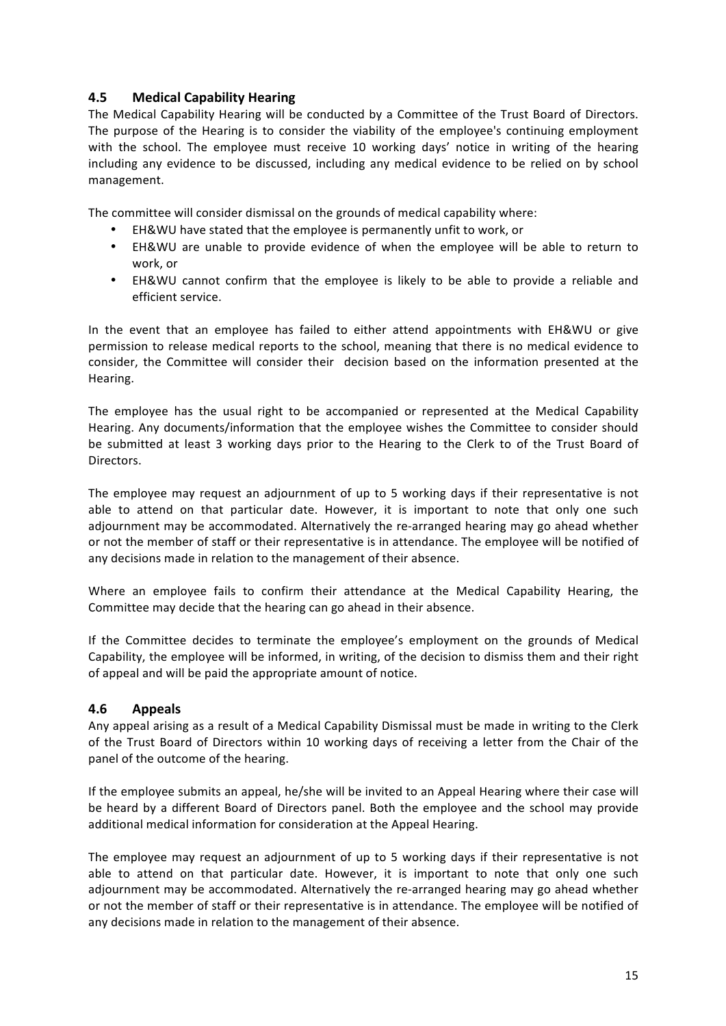#### **4.5 Medical Capability Hearing**

The Medical Capability Hearing will be conducted by a Committee of the Trust Board of Directors. The purpose of the Hearing is to consider the viability of the employee's continuing employment with the school. The employee must receive 10 working days' notice in writing of the hearing including any evidence to be discussed, including any medical evidence to be relied on by school management.

The committee will consider dismissal on the grounds of medical capability where:

- EH&WU have stated that the employee is permanently unfit to work, or
- EH&WU are unable to provide evidence of when the employee will be able to return to work, or
- EH&WU cannot confirm that the employee is likely to be able to provide a reliable and efficient service.

In the event that an employee has failed to either attend appointments with EH&WU or give permission to release medical reports to the school, meaning that there is no medical evidence to consider, the Committee will consider their decision based on the information presented at the Hearing.

The employee has the usual right to be accompanied or represented at the Medical Capability Hearing. Any documents/information that the employee wishes the Committee to consider should be submitted at least 3 working days prior to the Hearing to the Clerk to of the Trust Board of Directors.

The employee may request an adjournment of up to 5 working days if their representative is not able to attend on that particular date. However, it is important to note that only one such adjournment may be accommodated. Alternatively the re-arranged hearing may go ahead whether or not the member of staff or their representative is in attendance. The employee will be notified of any decisions made in relation to the management of their absence.

Where an employee fails to confirm their attendance at the Medical Capability Hearing, the Committee may decide that the hearing can go ahead in their absence.

If the Committee decides to terminate the employee's employment on the grounds of Medical Capability, the employee will be informed, in writing, of the decision to dismiss them and their right of appeal and will be paid the appropriate amount of notice.

#### **4.6 Appeals**

Any appeal arising as a result of a Medical Capability Dismissal must be made in writing to the Clerk of the Trust Board of Directors within 10 working days of receiving a letter from the Chair of the panel of the outcome of the hearing.

If the employee submits an appeal, he/she will be invited to an Appeal Hearing where their case will be heard by a different Board of Directors panel. Both the employee and the school may provide additional medical information for consideration at the Appeal Hearing.

The employee may request an adjournment of up to 5 working days if their representative is not able to attend on that particular date. However, it is important to note that only one such adjournment may be accommodated. Alternatively the re-arranged hearing may go ahead whether or not the member of staff or their representative is in attendance. The employee will be notified of any decisions made in relation to the management of their absence.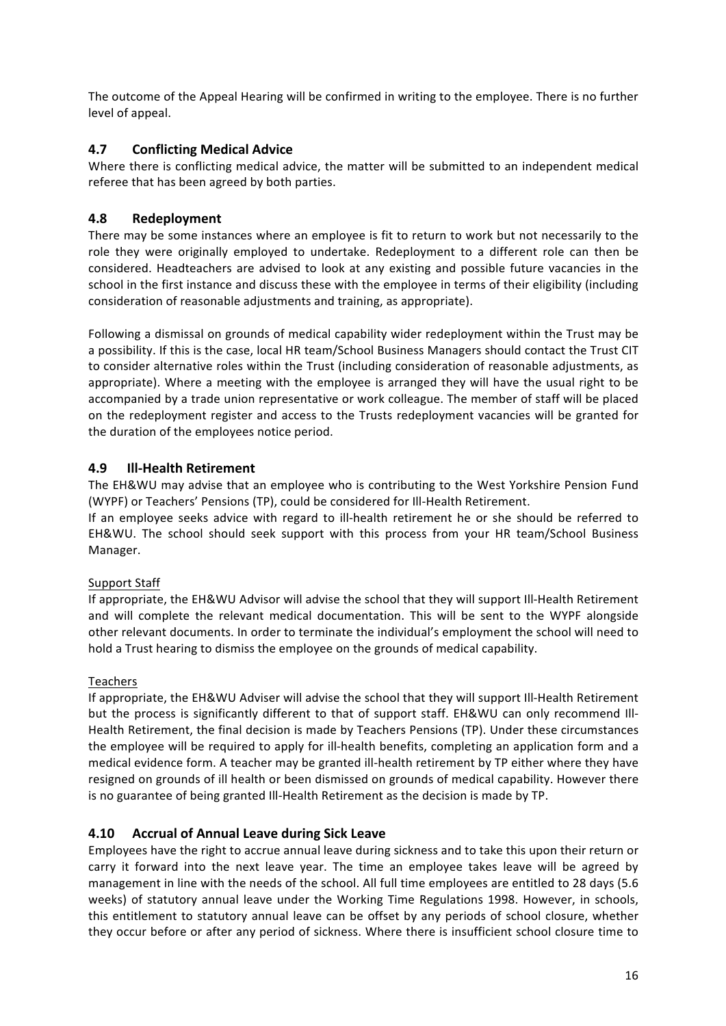The outcome of the Appeal Hearing will be confirmed in writing to the employee. There is no further level of appeal.

#### **4.7 Conflicting Medical Advice**

Where there is conflicting medical advice, the matter will be submitted to an independent medical referee that has been agreed by both parties.

#### **4.8 Redeployment**

There may be some instances where an employee is fit to return to work but not necessarily to the role they were originally employed to undertake. Redeployment to a different role can then be considered. Headteachers are advised to look at any existing and possible future vacancies in the school in the first instance and discuss these with the employee in terms of their eligibility (including consideration of reasonable adjustments and training, as appropriate).

Following a dismissal on grounds of medical capability wider redeployment within the Trust may be a possibility. If this is the case, local HR team/School Business Managers should contact the Trust CIT to consider alternative roles within the Trust (including consideration of reasonable adjustments, as appropriate). Where a meeting with the employee is arranged they will have the usual right to be accompanied by a trade union representative or work colleague. The member of staff will be placed on the redeployment register and access to the Trusts redeployment vacancies will be granted for the duration of the employees notice period.

#### **4.9 Ill-Health Retirement**

The EH&WU may advise that an employee who is contributing to the West Yorkshire Pension Fund (WYPF) or Teachers' Pensions (TP), could be considered for III-Health Retirement.

If an employee seeks advice with regard to ill-health retirement he or she should be referred to EH&WU. The school should seek support with this process from your HR team/School Business Manager.

#### Support Staff

If appropriate, the EH&WU Advisor will advise the school that they will support III-Health Retirement and will complete the relevant medical documentation. This will be sent to the WYPF alongside other relevant documents. In order to terminate the individual's employment the school will need to hold a Trust hearing to dismiss the employee on the grounds of medical capability.

#### Teachers

If appropriate, the EH&WU Adviser will advise the school that they will support III-Health Retirement but the process is significantly different to that of support staff. EH&WU can only recommend III-Health Retirement, the final decision is made by Teachers Pensions (TP). Under these circumstances the employee will be required to apply for ill-health benefits, completing an application form and a medical evidence form. A teacher may be granted ill-health retirement by TP either where they have resigned on grounds of ill health or been dismissed on grounds of medical capability. However there is no guarantee of being granted III-Health Retirement as the decision is made by TP.

#### **4.10 Accrual of Annual Leave during Sick Leave**

Employees have the right to accrue annual leave during sickness and to take this upon their return or carry it forward into the next leave year. The time an employee takes leave will be agreed by management in line with the needs of the school. All full time employees are entitled to 28 days (5.6 weeks) of statutory annual leave under the Working Time Regulations 1998. However, in schools, this entitlement to statutory annual leave can be offset by any periods of school closure, whether they occur before or after any period of sickness. Where there is insufficient school closure time to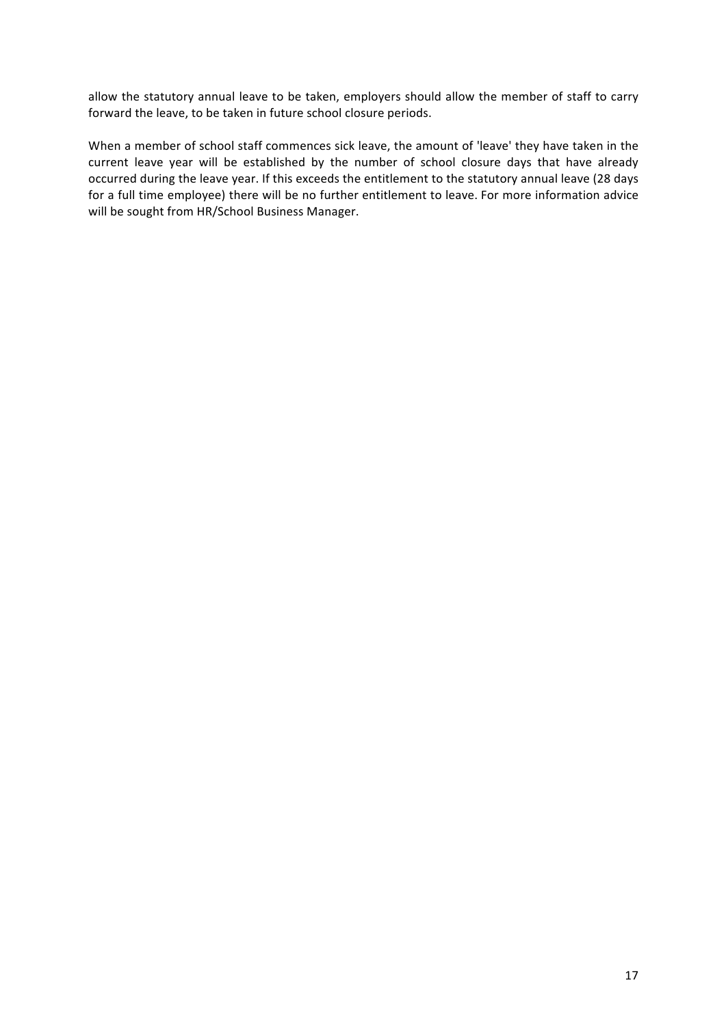allow the statutory annual leave to be taken, employers should allow the member of staff to carry forward the leave, to be taken in future school closure periods.

When a member of school staff commences sick leave, the amount of 'leave' they have taken in the current leave year will be established by the number of school closure days that have already occurred during the leave year. If this exceeds the entitlement to the statutory annual leave (28 days for a full time employee) there will be no further entitlement to leave. For more information advice will be sought from HR/School Business Manager.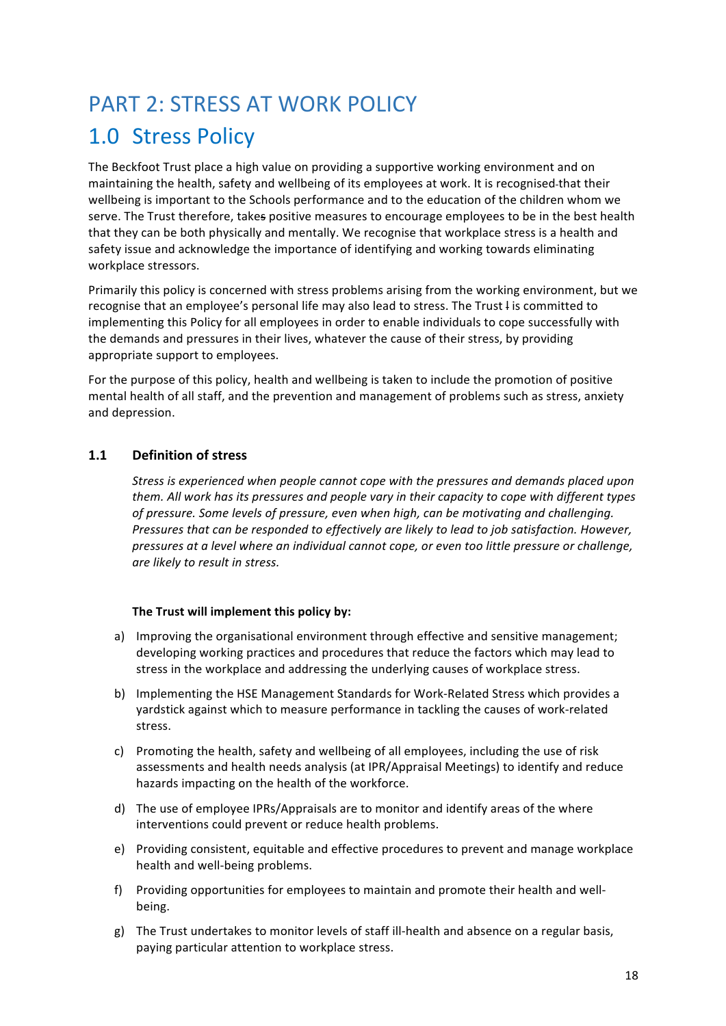### PART 2: STRESS AT WORK POLICY

# 1.0 Stress Policy

The Beckfoot Trust place a high value on providing a supportive working environment and on maintaining the health, safety and wellbeing of its employees at work. It is recognised-that their wellbeing is important to the Schools performance and to the education of the children whom we serve. The Trust therefore, takes positive measures to encourage employees to be in the best health that they can be both physically and mentally. We recognise that workplace stress is a health and safety issue and acknowledge the importance of identifying and working towards eliminating workplace stressors.

Primarily this policy is concerned with stress problems arising from the working environment, but we recognise that an employee's personal life may also lead to stress. The Trust I is committed to implementing this Policy for all employees in order to enable individuals to cope successfully with the demands and pressures in their lives, whatever the cause of their stress, by providing appropriate support to employees.

For the purpose of this policy, health and wellbeing is taken to include the promotion of positive mental health of all staff, and the prevention and management of problems such as stress, anxiety and depression.

#### **1.1 Definition of stress**

*Stress is experienced when people cannot cope with the pressures and demands placed upon* them. All work has its pressures and people vary in their capacity to cope with different types of pressure. Some levels of pressure, even when high, can be motivating and challenging. *Pressures that can be responded to effectively are likely to lead to iob satisfaction. However,* pressures at a level where an individual cannot cope, or even too little pressure or challenge, *are likely to result in stress.*

#### The Trust will implement this policy by:

- a) Improving the organisational environment through effective and sensitive management; developing working practices and procedures that reduce the factors which may lead to stress in the workplace and addressing the underlying causes of workplace stress.
- b) Implementing the HSE Management Standards for Work-Related Stress which provides a yardstick against which to measure performance in tackling the causes of work-related stress.
- c) Promoting the health, safety and wellbeing of all employees, including the use of risk assessments and health needs analysis (at IPR/Appraisal Meetings) to identify and reduce hazards impacting on the health of the workforce.
- d) The use of employee IPRs/Appraisals are to monitor and identify areas of the where interventions could prevent or reduce health problems.
- e) Providing consistent, equitable and effective procedures to prevent and manage workplace health and well-being problems.
- f) Providing opportunities for employees to maintain and promote their health and wellbeing.
- g) The Trust undertakes to monitor levels of staff ill-health and absence on a regular basis, paying particular attention to workplace stress.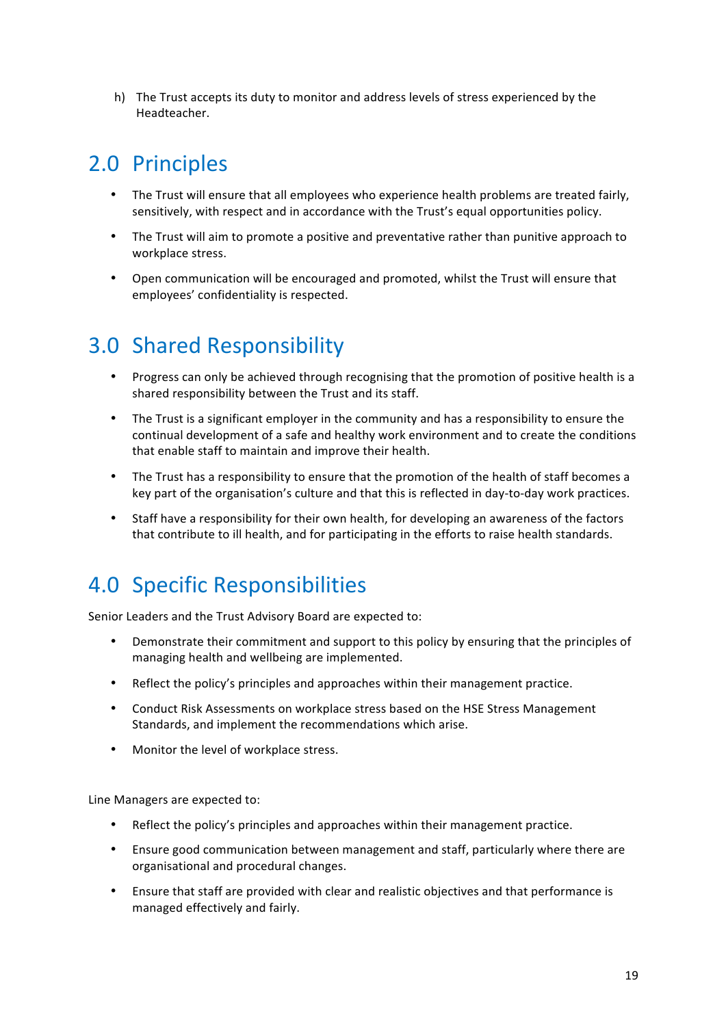h) The Trust accepts its duty to monitor and address levels of stress experienced by the Headteacher.

### 2.0 Principles

- The Trust will ensure that all employees who experience health problems are treated fairly, sensitively, with respect and in accordance with the Trust's equal opportunities policy.
- The Trust will aim to promote a positive and preventative rather than punitive approach to workplace stress.
- Open communication will be encouraged and promoted, whilst the Trust will ensure that employees' confidentiality is respected.

# 3.0 Shared Responsibility

- Progress can only be achieved through recognising that the promotion of positive health is a shared responsibility between the Trust and its staff.
- The Trust is a significant employer in the community and has a responsibility to ensure the continual development of a safe and healthy work environment and to create the conditions that enable staff to maintain and improve their health.
- The Trust has a responsibility to ensure that the promotion of the health of staff becomes a key part of the organisation's culture and that this is reflected in day-to-day work practices.
- Staff have a responsibility for their own health, for developing an awareness of the factors that contribute to ill health, and for participating in the efforts to raise health standards.

### 4.0 Specific Responsibilities

Senior Leaders and the Trust Advisory Board are expected to:

- Demonstrate their commitment and support to this policy by ensuring that the principles of managing health and wellbeing are implemented.
- Reflect the policy's principles and approaches within their management practice.
- Conduct Risk Assessments on workplace stress based on the HSE Stress Management Standards, and implement the recommendations which arise.
- Monitor the level of workplace stress.

Line Managers are expected to:

- Reflect the policy's principles and approaches within their management practice.
- Ensure good communication between management and staff, particularly where there are organisational and procedural changes.
- Ensure that staff are provided with clear and realistic objectives and that performance is managed effectively and fairly.